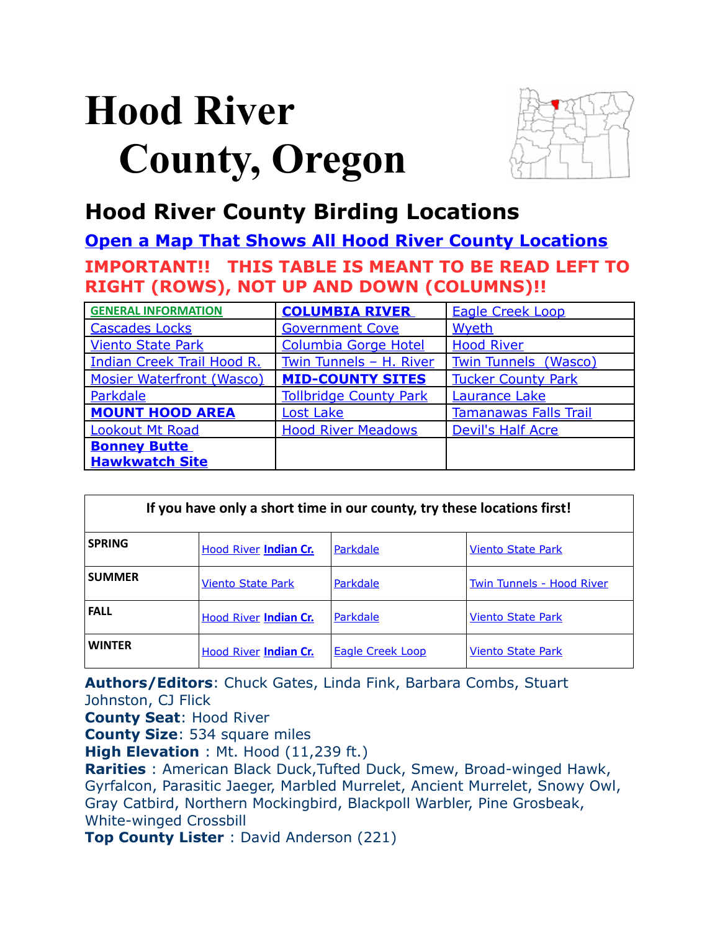# <span id="page-0-4"></span>**Hood River County, Oregon**



### **Hood River County Birding Locations**

**[Open a Map That Shows All Hood River County Locations](https://www.google.com/maps/d/edit?mid=zVl1oTDALjf4.k_RfBo38WWfo&usp=sharing) IMPORTANT!! THIS TABLE IS MEANT TO BE READ LEFT TO RIGHT (ROWS), NOT UP AND DOWN (COLUMNS)!!**

| <b>GENERAL INFORMATION</b>        | <b>COLUMBIA RIVER</b>         | <b>Eagle Creek Loop</b>      |  |
|-----------------------------------|-------------------------------|------------------------------|--|
| <b>Cascades Locks</b>             | <b>Government Cove</b>        | Wyeth                        |  |
| <b>Viento State Park</b>          | <b>Columbia Gorge Hotel</b>   | <b>Hood River</b>            |  |
| <b>Indian Creek Trail Hood R.</b> | Twin Tunnels - H. River       | <b>Twin Tunnels (Wasco)</b>  |  |
| <b>Mosier Waterfront (Wasco)</b>  | <b>MID-COUNTY SITES</b>       | <b>Tucker County Park</b>    |  |
| Parkdale                          | <b>Tollbridge County Park</b> | <b>Laurance Lake</b>         |  |
| <b>MOUNT HOOD AREA</b>            | <b>Lost Lake</b>              | <b>Tamanawas Falls Trail</b> |  |
| <b>Lookout Mt Road</b>            | <b>Hood River Meadows</b>     | <b>Devil's Half Acre</b>     |  |
| <b>Bonney Butte</b>               |                               |                              |  |
| <b>Hawkwatch Site</b>             |                               |                              |  |

<span id="page-0-2"></span>

| If you have only a short time in our county, try these locations first! |                              |                         |                                  |  |
|-------------------------------------------------------------------------|------------------------------|-------------------------|----------------------------------|--|
| <b>SPRING</b>                                                           | Hood River Indian Cr.        | Parkdale                | <b>Viento State Park</b>         |  |
| <b>SUMMER</b>                                                           | <b>Viento State Park</b>     | Parkdale                | <b>Twin Tunnels - Hood River</b> |  |
| <b>FALL</b>                                                             | <b>Hood River Indian Cr.</b> | Parkdale                | <b>Viento State Park</b>         |  |
| <b>WINTER</b>                                                           | <b>Hood River Indian Cr.</b> | <b>Eagle Creek Loop</b> | <b>Viento State Park</b>         |  |

<span id="page-0-3"></span><span id="page-0-1"></span><span id="page-0-0"></span>**Authors/Editors**: Chuck Gates, Linda Fink, Barbara Combs, Stuart Johnston, CJ Flick

**County Seat**: Hood River

**County Size**: 534 square miles

**High Elevation** : Mt. Hood (11,239 ft.)

**Rarities**: American Black Duck, Tufted Duck, Smew, Broad-winged Hawk, Gyrfalcon, Parasitic Jaeger, Marbled Murrelet, Ancient Murrelet, Snowy Owl, Gray Catbird, Northern Mockingbird, Blackpoll Warbler, Pine Grosbeak, White-winged Crossbill

**Top County Lister** : David Anderson (221)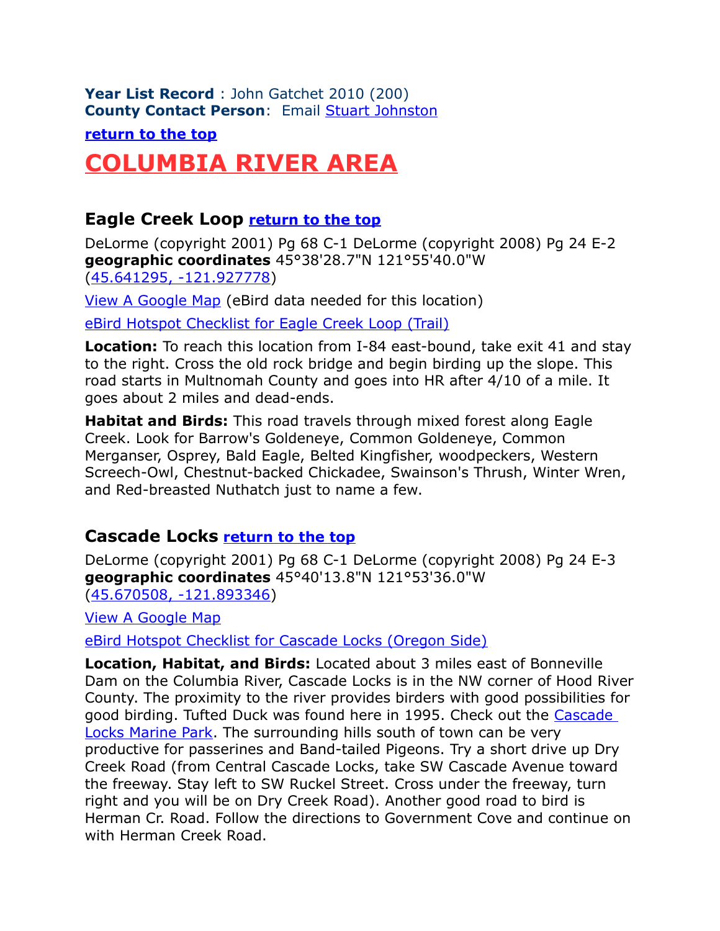**Year List Record** : John Gatchet 2010 (200) **County Contact Person**: Email [Stuart Johnston](mailto:johnstonstuartf@hotmail.com)

**[return to the top](#page-0-4)**

## <span id="page-1-2"></span>**COLUMBIA RIVER AREA**

### <span id="page-1-0"></span>**Eagle Creek Loop [return to the top](#page-0-4)**

DeLorme (copyright 2001) Pg 68 C-1 DeLorme (copyright 2008) Pg 24 E-2 **geographic coordinates** 45°38'28.7"N 121°55'40.0"W [\(45.641295, -121.927778\)](https://www.google.com/maps/place/45%C2%B038)

[View A Google Map](http://maps.google.com/maps/ms?hl=en&ie=UTF8&msa=0&msid=108036481085398338899.00047975278f9b4e4f3b3&ll=45.685077,-121.874084&spn=0.63031,1.399384&z=10) (eBird data needed for this location)

[eBird Hotspot Checklist for Eagle Creek Loop \(Trail\)](http://ebird.org/ebird/hotspot/L2314492)

**Location:** To reach this location from I-84 east-bound, take exit 41 and stay to the right. Cross the old rock bridge and begin birding up the slope. This road starts in Multnomah County and goes into HR after 4/10 of a mile. It goes about 2 miles and dead-ends.

**Habitat and Birds:** This road travels through mixed forest along Eagle Creek. Look for Barrow's Goldeneye, Common Goldeneye, Common Merganser, Osprey, Bald Eagle, Belted Kingfisher, woodpeckers, Western Screech-Owl, Chestnut-backed Chickadee, Swainson's Thrush, Winter Wren, and Red-breasted Nuthatch just to name a few.

### <span id="page-1-1"></span>**Cascade Locks [return to the top](#page-0-4)**

DeLorme (copyright 2001) Pg 68 C-1 DeLorme (copyright 2008) Pg 24 E-3 **geographic coordinates** 45°40'13.8"N 121°53'36.0"W [\(45.670508, -121.893346\)](https://www.google.com/maps/place/45%C2%B040)

[View A Google Map](http://maps.google.com/maps/ms?hl=en&ie=UTF8&msa=0&msid=108036481085398338899.00047975278f9b4e4f3b3&ll=45.685077,-121.874084&spn=0.63031,1.399384&z=10)

[eBird Hotspot Checklist for Cascade Locks \(Oregon Side\)](http://ebird.org/ebird/hotspot/L1294758)

**Location, Habitat, and Birds:** Located about 3 miles east of Bonneville Dam on the Columbia River, Cascade Locks is in the NW corner of Hood River County. The proximity to the river provides birders with good possibilities for good birding. Tufted Duck was found here in 1995. Check out the [Cascade](http://portofcascadelocks.org/marine-park/)  [Locks Marine Park.](http://portofcascadelocks.org/marine-park/) The surrounding hills south of town can be very productive for passerines and Band-tailed Pigeons. Try a short drive up Dry Creek Road (from Central Cascade Locks, take SW Cascade Avenue toward the freeway. Stay left to SW Ruckel Street. Cross under the freeway, turn right and you will be on Dry Creek Road). Another good road to bird is Herman Cr. Road. Follow the directions to Government Cove and continue on with Herman Creek Road.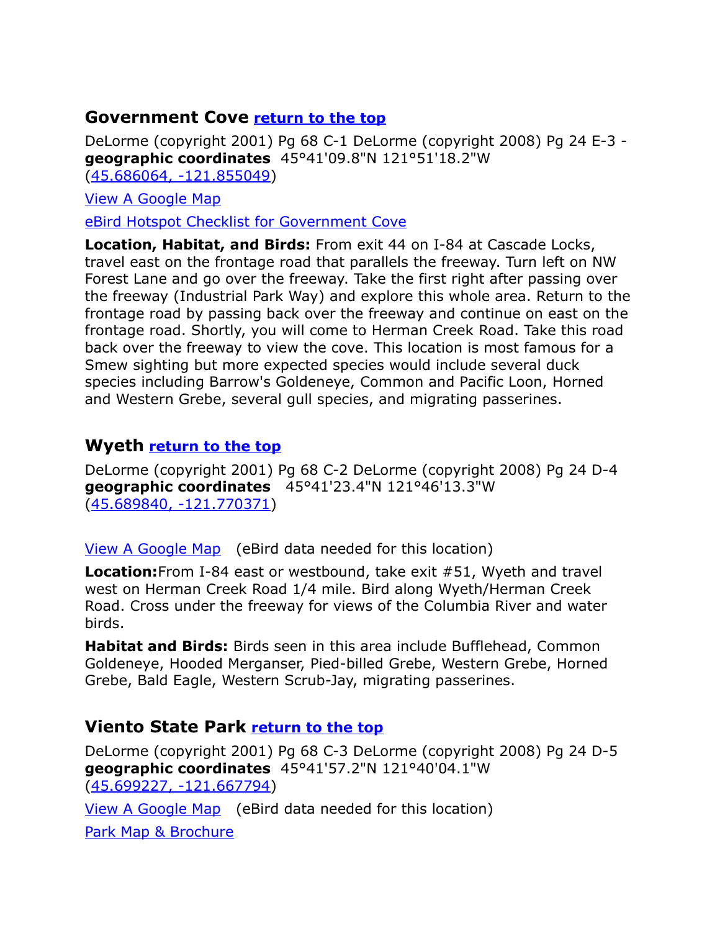### <span id="page-2-2"></span>**Government Cove [return to the top](#page-0-4)**

DeLorme (copyright 2001) Pg 68 C-1 DeLorme (copyright 2008) Pg 24 E-3 **geographic coordinates** 45°41'09.8"N 121°51'18.2"W [\(45.686064, -121.855049\)](https://www.google.com/maps/place/45%C2%B041)

[View A Google Map](http://maps.google.com/maps/ms?hl=en&ie=UTF8&msa=0&msid=108036481085398338899.00047975278f9b4e4f3b3&ll=45.685077,-121.874084&spn=0.63031,1.399384&z=10)

[eBird Hotspot Checklist for Government Cove](http://ebird.org/ebird/hotspot/L1073154)

**Location, Habitat, and Birds:** From exit 44 on I-84 at Cascade Locks, travel east on the frontage road that parallels the freeway. Turn left on NW Forest Lane and go over the freeway. Take the first right after passing over the freeway (Industrial Park Way) and explore this whole area. Return to the frontage road by passing back over the freeway and continue on east on the frontage road. Shortly, you will come to Herman Creek Road. Take this road back over the freeway to view the cove. This location is most famous for a Smew sighting but more expected species would include several duck species including Barrow's Goldeneye, Common and Pacific Loon, Horned and Western Grebe, several gull species, and migrating passerines.

### <span id="page-2-1"></span>**Wyeth [return to the top](#page-0-4)**

DeLorme (copyright 2001) Pg 68 C-2 DeLorme (copyright 2008) Pg 24 D-4 **geographic coordinates** 45°41'23.4"N 121°46'13.3"W [\(45.689840, -121.770371\)](https://www.google.com/maps/place/45%C2%B041)

[View A Google Map](http://maps.google.com/maps/ms?hl=en&ie=UTF8&msa=0&msid=108036481085398338899.00047975278f9b4e4f3b3&ll=45.685077,-121.874084&spn=0.63031,1.399384&z=10) (eBird data needed for this location)

**Location:**From I-84 east or westbound, take exit #51, Wyeth and travel west on Herman Creek Road 1/4 mile. Bird along Wyeth/Herman Creek Road. Cross under the freeway for views of the Columbia River and water birds.

**Habitat and Birds:** Birds seen in this area include Bufflehead, Common Goldeneye, Hooded Merganser, Pied-billed Grebe, Western Grebe, Horned Grebe, Bald Eagle, Western Scrub-Jay, migrating passerines.

### <span id="page-2-0"></span>**Viento State Park [return to the top](#page-0-4)**

DeLorme (copyright 2001) Pg 68 C-3 DeLorme (copyright 2008) Pg 24 D-5 **geographic coordinates** 45°41'57.2"N 121°40'04.1"W [\(45.699227, -121.667794\)](https://www.google.com/maps/place/45%C2%B041)

[View A Google Map](http://maps.google.com/maps/ms?hl=en&ie=UTF8&msa=0&msid=108036481085398338899.000468cb33bfc7d6328e2&ll=45.536175,-121.655731&spn=1.263939,2.798767&z=9) (eBird data needed for this location)

[Park Map & Brochure](http://www.oregonstateparks.org/park_171.php)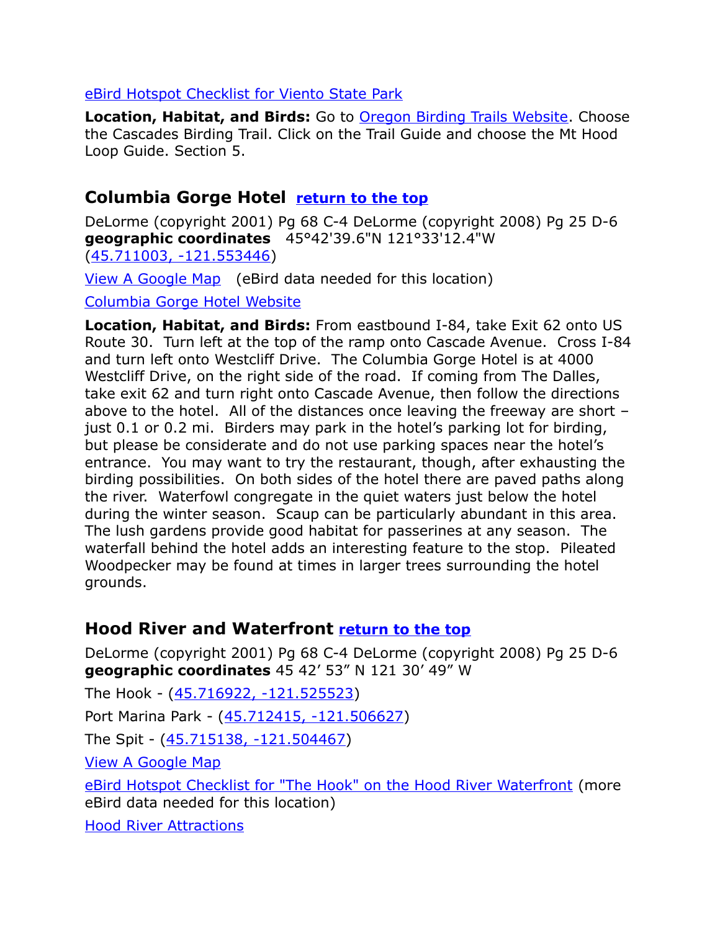#### [eBird Hotspot Checklist for Viento State Park](http://ebird.org/ebird/hotspot/L1459367?yr=all&m=&rank=mrec)

**Location, Habitat, and Birds:** Go to [Oregon Birding Trails Website.](http://www.oregonbirdingtrails.org/) Choose the Cascades Birding Trail. Click on the Trail Guide and choose the Mt Hood Loop Guide. Section 5.

### <span id="page-3-1"></span>**Columbia Gorge Hotel [return to the top](#page-0-4)**

DeLorme (copyright 2001) Pg 68 C-4 DeLorme (copyright 2008) Pg 25 D-6 **geographic coordinates** 45°42'39.6"N 121°33'12.4"W [\(45.711003, -121.553446\)](https://www.google.com/maps/place/45%C2%B042)

[View A Google Map](http://maps.google.com/maps/ms?hl=en&ie=UTF8&msa=0&msid=108036481085398338899.000479761ec96e4707a27&ll=45.71433,-121.516685&spn=0.078748,0.174923&z=13) (eBird data needed for this location)

 [Columbia Gorge Hotel Website](http://www.columbiagorgehotel.com/)

**Location, Habitat, and Birds:** From eastbound I-84, take Exit 62 onto US Route 30. Turn left at the top of the ramp onto Cascade Avenue. Cross I-84 and turn left onto Westcliff Drive. The Columbia Gorge Hotel is at 4000 Westcliff Drive, on the right side of the road. If coming from The Dalles, take exit 62 and turn right onto Cascade Avenue, then follow the directions above to the hotel. All of the distances once leaving the freeway are short – just 0.1 or 0.2 mi. Birders may park in the hotel's parking lot for birding, but please be considerate and do not use parking spaces near the hotel's entrance. You may want to try the restaurant, though, after exhausting the birding possibilities. On both sides of the hotel there are paved paths along the river. Waterfowl congregate in the quiet waters just below the hotel during the winter season. Scaup can be particularly abundant in this area. The lush gardens provide good habitat for passerines at any season. The waterfall behind the hotel adds an interesting feature to the stop. Pileated Woodpecker may be found at times in larger trees surrounding the hotel grounds.

### <span id="page-3-0"></span>**Hood River and Waterfront [return to the top](#page-0-4)**

DeLorme (copyright 2001) Pg 68 C-4 DeLorme (copyright 2008) Pg 25 D-6 **geographic coordinates** 45 42' 53" N 121 30' 49" W

The Hook - [\(45.716922, -121.525523\)](https://www.google.com/maps/place/45%C2%B043)

Port Marina Park - [\(45.712415, -121.506627\)](https://www.google.com/maps/place/45%C2%B042)

The Spit - [\(45.715138, -121.504467\)](https://www.google.com/maps/place/45%C2%B042)

[View A Google Map](http://maps.google.com/maps/ms?hl=en&ie=UTF8&msa=0&msid=108036481085398338899.000479761ec96e4707a27&ll=45.71433,-121.516685&spn=0.078748,0.174923&z=13)

[eBird Hotspot Checklist for "The Hook" on the Hood River Waterfront](http://ebird.org/ebird/hotspot/L2431808) (more eBird data needed for this location)

[Hood River Attractions](http://www.el.com/to/hoodriver/)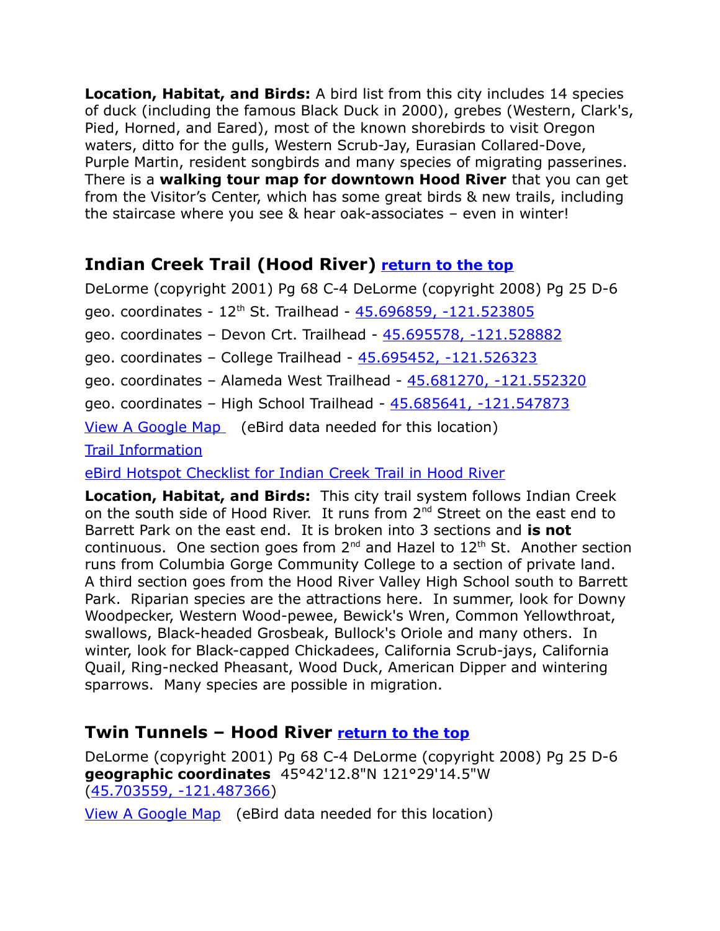**Location, Habitat, and Birds:** A bird list from this city includes 14 species of duck (including the famous Black Duck in 2000), grebes (Western, Clark's, Pied, Horned, and Eared), most of the known shorebirds to visit Oregon waters, ditto for the gulls, Western Scrub-Jay, Eurasian Collared-Dove, Purple Martin, resident songbirds and many species of migrating passerines. There is a **walking tour map for downtown Hood River** that you can get from the Visitor's Center, which has some great birds & new trails, including the staircase where you see & hear oak-associates – even in winter!

### <span id="page-4-0"></span>**Indian Creek Trail (Hood River) [return to the top](#page-0-4)**

DeLorme (copyright 2001) Pg 68 C-4 DeLorme (copyright 2008) Pg 25 D-6 geo. coordinates - 12th St. Trailhead - [45.696859, -121.523805](https://www.google.com/maps/place/45%C2%B041) geo. coordinates – Devon Crt. Trailhead - [45.695578, -121.528882](https://www.google.com/maps/place/45%C2%B041) geo. coordinates – College Trailhead - [45.695452, -121.526323](https://www.google.com/maps/place/45%C2%B041) geo. coordinates – Alameda West Trailhead - [45.681270, -121.552320](https://www.google.com/maps/place/45%C2%B040) geo. coordinates – High School Trailhead - [45.685641, -121.547873](https://www.google.com/maps/place/45%C2%B041)  [View A Google Map](http://maps.google.com/maps/ms?hl=en&ie=UTF8&msa=0&msid=108036481085398338899.000479761ec96e4707a27&ll=45.71433,-121.516685&spn=0.078748,0.174923&z=13) (eBird data needed for this location) [Trail Information](http://hoodriverparksandrec.org/indian-creek-trail/)

[eBird Hotspot Checklist for Indian Creek Trail in Hood River](http://ebird.org/ebird/hotspot/L2323889?yr=all&m=&rank=mrec)

**Location, Habitat, and Birds:** This city trail system follows Indian Creek on the south side of Hood River. It runs from 2<sup>nd</sup> Street on the east end to Barrett Park on the east end. It is broken into 3 sections and **is not** continuous. One section goes from  $2^{nd}$  and Hazel to  $12^{th}$  St. Another section runs from Columbia Gorge Community College to a section of private land. A third section goes from the Hood River Valley High School south to Barrett Park. Riparian species are the attractions here. In summer, look for Downy Woodpecker, Western Wood-pewee, Bewick's Wren, Common Yellowthroat, swallows, Black-headed Grosbeak, Bullock's Oriole and many others. In winter, look for Black-capped Chickadees, California Scrub-jays, California Quail, Ring-necked Pheasant, Wood Duck, American Dipper and wintering sparrows. Many species are possible in migration.

### <span id="page-4-1"></span>**Twin Tunnels – Hood River [return to the top](#page-0-4)**

DeLorme (copyright 2001) Pg 68 C-4 DeLorme (copyright 2008) Pg 25 D-6 **geographic coordinates** 45°42'12.8"N 121°29'14.5"W [\(45.703559, -121.487366\)](https://www.google.com/maps/place/45%C2%B042)

[View A Google Map](http://maps.google.com/maps/ms?hl=en&ie=UTF8&msa=0&msid=108036481085398338899.000468cb33bfc7d6328e2&ll=45.536175,-121.655731&spn=1.263939,2.798767&z=9) (eBird data needed for this location)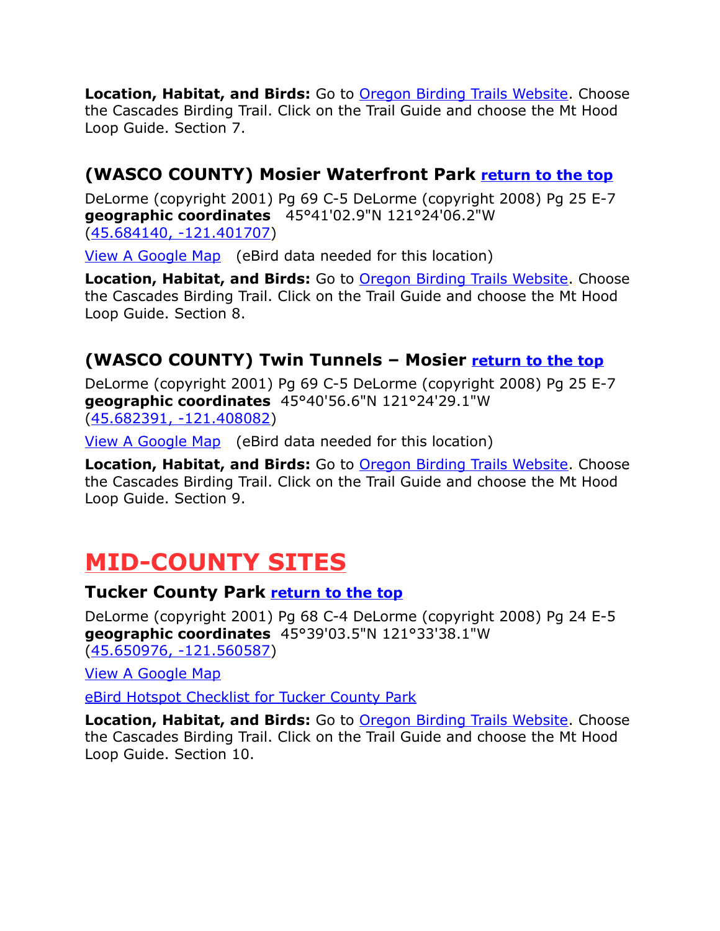**Location, Habitat, and Birds:** Go to [Oregon Birding Trails Website.](http://www.oregonbirdingtrails.org/) Choose the Cascades Birding Trail. Click on the Trail Guide and choose the Mt Hood Loop Guide. Section 7.

### **(WASCO COUNTY) Mosier Waterfront Park [return to the top](#page-0-4)**

DeLorme (copyright 2001) Pg 69 C-5 DeLorme (copyright 2008) Pg 25 E-7 **geographic coordinates** 45°41'02.9"N 121°24'06.2"W [\(45.684140, -121.401707\)](https://www.google.com/maps/place/45%C2%B041)

[View A Google Map](http://maps.google.com/maps/ms?hl=en&ie=UTF8&msa=0&msid=108036481085398338899.000468cb33bfc7d6328e2&ll=45.536175,-121.655731&spn=1.263939,2.798767&z=9) (eBird data needed for this location)

**Location, Habitat, and Birds:** Go to [Oregon Birding Trails Website.](http://www.oregonbirdingtrails.org/) Choose the Cascades Birding Trail. Click on the Trail Guide and choose the Mt Hood Loop Guide. Section 8.

### <span id="page-5-2"></span>**(WASCO COUNTY) Twin Tunnels – Mosier [return to the top](#page-0-4)**

DeLorme (copyright 2001) Pg 69 C-5 DeLorme (copyright 2008) Pg 25 E-7 **geographic coordinates** 45°40'56.6"N 121°24'29.1"W [\(45.682391, -121.408082\)](https://www.google.com/maps/place/45%C2%B040)

[View A Google Map](http://maps.google.com/maps/ms?hl=en&ie=UTF8&msa=0&msid=108036481085398338899.000468cb33bfc7d6328e2&ll=45.536175,-121.655731&spn=1.263939,2.798767&z=9) (eBird data needed for this location)

**Location, Habitat, and Birds:** Go to **Oregon Birding Trails Website**. Choose the Cascades Birding Trail. Click on the Trail Guide and choose the Mt Hood Loop Guide. Section 9.

# <span id="page-5-1"></span>**MID-COUNTY SITES**

### <span id="page-5-0"></span>**Tucker County Park [return to the top](#page-0-4)**

DeLorme (copyright 2001) Pg 68 C-4 DeLorme (copyright 2008) Pg 24 E-5 **geographic coordinates** 45°39'03.5"N 121°33'38.1"W [\(45.650976, -121.560587\)](https://www.google.com/maps/place/45%C2%B039)

[View A Google Map](http://maps.google.com/maps/ms?hl=en&ie=UTF8&msa=0&msid=108036481085398338899.000468cb33bfc7d6328e2&ll=45.536175,-121.655731&spn=1.263939,2.798767&z=9) 

[eBird Hotspot Checklist for Tucker County Park](http://ebird.org/ebird/hotspot/L1756593?yr=all&m=&rank=mrec)

**Location, Habitat, and Birds:** Go to [Oregon Birding Trails Website.](http://www.oregonbirdingtrails.org/) Choose the Cascades Birding Trail. Click on the Trail Guide and choose the Mt Hood Loop Guide. Section 10.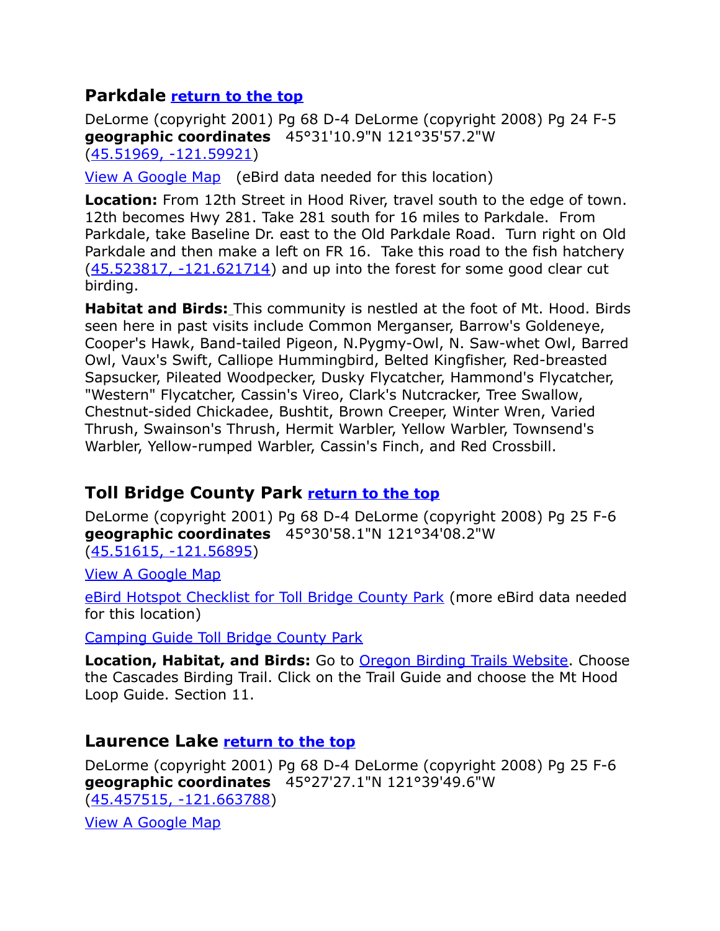### <span id="page-6-0"></span>**Parkdale [return to the top](#page-0-4)**

DeLorme (copyright 2001) Pg 68 D-4 DeLorme (copyright 2008) Pg 24 F-5 **geographic coordinates** 45°31'10.9"N 121°35'57.2"W [\(45.51969, -121.59921\)](https://www.google.com/maps/place/45%C2%B031)

[View A Google Map](http://maps.google.com/maps/ms?hl=en&ie=UTF8&msa=0&msid=108036481085398338899.000468cb33bfc7d6328e2&ll=45.536175,-121.655731&spn=1.263939,2.798767&z=9) (eBird data needed for this location)

**Location:** From 12th Street in Hood River, travel south to the edge of town. 12th becomes Hwy 281. Take 281 south for 16 miles to Parkdale. From Parkdale, take Baseline Dr. east to the Old Parkdale Road. Turn right on Old Parkdale and then make a left on FR 16. Take this road to the fish hatchery  $(45.523817, -121.621714)$  and up into the forest for some good clear cut birding.

**Habitat and Birds:** This community is nestled at the foot of Mt. Hood. Birds seen here in past visits include Common Merganser, Barrow's Goldeneye, Cooper's Hawk, Band-tailed Pigeon, N.Pygmy-Owl, N. Saw-whet Owl, Barred Owl, Vaux's Swift, Calliope Hummingbird, Belted Kingfisher, Red-breasted Sapsucker, Pileated Woodpecker, Dusky Flycatcher, Hammond's Flycatcher, "Western" Flycatcher, Cassin's Vireo, Clark's Nutcracker, Tree Swallow, Chestnut-sided Chickadee, Bushtit, Brown Creeper, Winter Wren, Varied Thrush, Swainson's Thrush, Hermit Warbler, Yellow Warbler, Townsend's Warbler, Yellow-rumped Warbler, Cassin's Finch, and Red Crossbill.

### <span id="page-6-2"></span>**Toll Bridge County Park [return to the top](#page-0-4)**

DeLorme (copyright 2001) Pg 68 D-4 DeLorme (copyright 2008) Pg 25 F-6 **geographic coordinates** 45°30'58.1"N 121°34'08.2"W [\(45.51615, -121.56895\)](https://www.google.com/maps/place/45%C2%B030)

[View A Google Map](http://maps.google.com/maps/ms?hl=en&ie=UTF8&msa=0&msid=108036481085398338899.000468cb33bfc7d6328e2&ll=45.536175,-121.655731&spn=1.263939,2.798767&z=9) 

[eBird Hotspot Checklist for Toll Bridge County Park](http://ebird.org/ebird/hotspot/L1237789) (more eBird data needed for this location)

[Camping Guide Toll Bridge County Park](http://www.freeguidetonwcamping.com/Oregon_Washington_Main/Oregon/Central_OR/Toll_Bridge_Park.htm)

**Location, Habitat, and Birds:** Go to [Oregon Birding Trails Website.](http://www.oregonbirdingtrails.org/) Choose the Cascades Birding Trail. Click on the Trail Guide and choose the Mt Hood Loop Guide. Section 11.

### <span id="page-6-1"></span>**Laurence Lake [return to the top](#page-0-4)**

DeLorme (copyright 2001) Pg 68 D-4 DeLorme (copyright 2008) Pg 25 F-6 **geographic coordinates** 45°27'27.1"N 121°39'49.6"W [\(45.457515, -121.663788\)](https://www.google.com/maps/place/45%C2%B027)

[View A Google Map](http://maps.google.com/maps/ms?hl=en&ie=UTF8&msa=0&msid=108036481085398338899.000468cb33bfc7d6328e2&ll=45.536175,-121.655731&spn=1.263939,2.798767&z=9)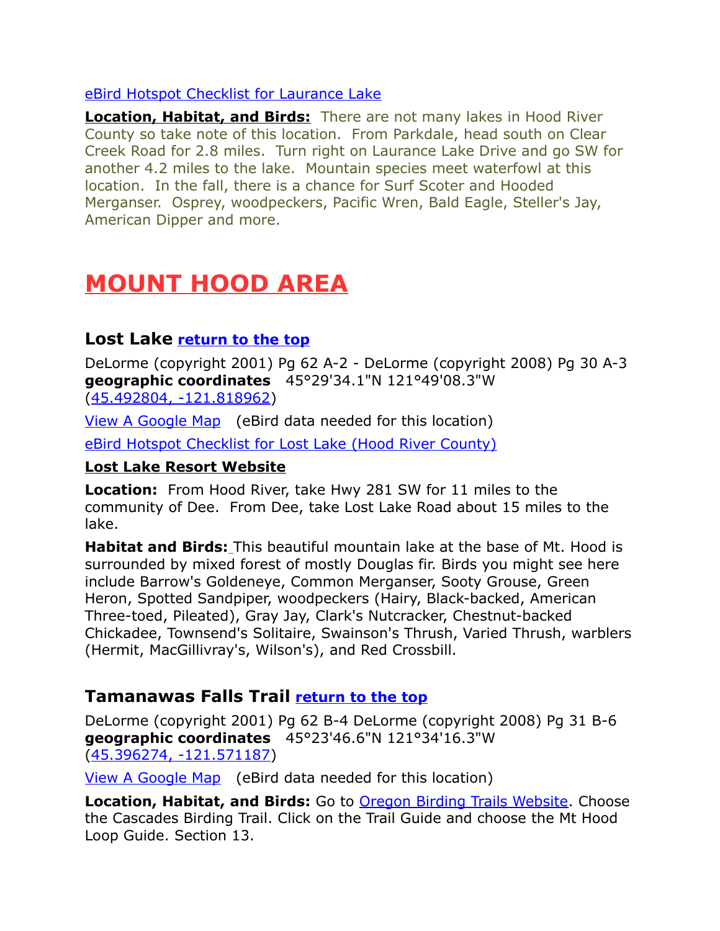#### [eBird Hotspot Checklist for Laurance Lake](http://ebird.org/ebird/hotspot/L2733485)

**Location, Habitat, and Birds:** There are not many lakes in Hood River County so take note of this location. From Parkdale, head south on Clear Creek Road for 2.8 miles. Turn right on Laurance Lake Drive and go SW for another 4.2 miles to the lake. Mountain species meet waterfowl at this location. In the fall, there is a chance for Surf Scoter and Hooded Merganser. Osprey, woodpeckers, Pacific Wren, Bald Eagle, Steller's Jay, American Dipper and more.

# <span id="page-7-2"></span>**MOUNT HOOD AREA**

### <span id="page-7-1"></span>**Lost Lake [return to the top](#page-0-4)**

DeLorme (copyright 2001) Pg 62 A-2 - DeLorme (copyright 2008) Pg 30 A-3 **geographic coordinates** 45°29'34.1"N 121°49'08.3"W [\(45.492804, -121.818962\)](https://www.google.com/maps/place/45%C2%B029)

[View A Google Map](http://maps.google.com/maps/ms?hl=en&ie=UTF8&msa=0&msid=108036481085398338899.000468cb33bfc7d6328e2&ll=45.536175,-121.655731&spn=1.263939,2.798767&z=9) (eBird data needed for this location) [eBird Hotspot Checklist for Lost Lake \(Hood River County\)](http://ebird.org/ebird/hotspot/L2232708?yr=all&m=&rank=mrec)

#### **[Lost Lake Resort Website](http://lostlakeresort.org/)**

**Location:** From Hood River, take Hwy 281 SW for 11 miles to the community of Dee. From Dee, take Lost Lake Road about 15 miles to the lake.

**Habitat and Birds:** This beautiful mountain lake at the base of Mt. Hood is surrounded by mixed forest of mostly Douglas fir. Birds you might see here include Barrow's Goldeneye, Common Merganser, Sooty Grouse, Green Heron, Spotted Sandpiper, woodpeckers (Hairy, Black-backed, American Three-toed, Pileated), Gray Jay, Clark's Nutcracker, Chestnut-backed Chickadee, Townsend's Solitaire, Swainson's Thrush, Varied Thrush, warblers (Hermit, MacGillivray's, Wilson's), and Red Crossbill.

### <span id="page-7-0"></span>**Tamanawas Falls Trail [return to the top](#page-0-4)**

DeLorme (copyright 2001) Pg 62 B-4 DeLorme (copyright 2008) Pg 31 B-6 **geographic coordinates** 45°23'46.6"N 121°34'16.3"W [\(45.396274, -121.571187\)](https://www.google.com/maps/place/45%C2%B023)

[View A Google Map](http://maps.google.com/maps/ms?hl=en&ie=UTF8&msa=0&msid=108036481085398338899.000468cc2da52d27b92cd&ll=45.306768,-121.662598&spn=0.634558,1.399384&z=10) (eBird data needed for this location)

**Location, Habitat, and Birds:** Go to **Oregon Birding Trails Website**. Choose the Cascades Birding Trail. Click on the Trail Guide and choose the Mt Hood Loop Guide. Section 13.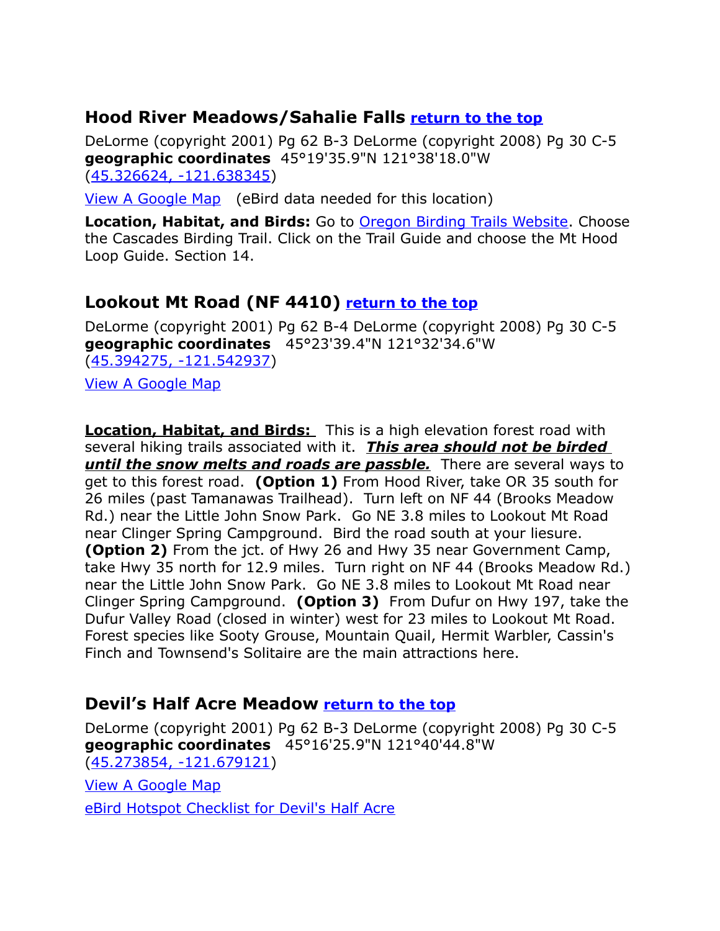### <span id="page-8-1"></span>**Hood River Meadows/Sahalie Falls [return to the top](#page-0-4)**

DeLorme (copyright 2001) Pg 62 B-3 DeLorme (copyright 2008) Pg 30 C-5 **geographic coordinates** 45°19'35.9"N 121°38'18.0"W [\(45.326624, -121.638345\)](https://www.google.com/maps/place/45%C2%B019)

[View A Google Map](http://maps.google.com/maps/ms?hl=en&ie=UTF8&msa=0&msid=108036481085398338899.000468cc2da52d27b92cd&ll=45.306768,-121.662598&spn=0.634558,1.399384&z=10) (eBird data needed for this location)

**Location, Habitat, and Birds:** Go to [Oregon Birding Trails Website.](http://www.oregonbirdingtrails.org/) Choose the Cascades Birding Trail. Click on the Trail Guide and choose the Mt Hood Loop Guide. Section 14.

### <span id="page-8-2"></span>**Lookout Mt Road (NF 4410) [return to the top](#page-0-4)**

DeLorme (copyright 2001) Pg 62 B-4 DeLorme (copyright 2008) Pg 30 C-5 **geographic coordinates** 45°23'39.4"N 121°32'34.6"W [\(45.394275, -121.542937\)](https://www.google.com/maps/place/45%C2%B023)

[View A Google Map](http://maps.google.com/maps/ms?hl=en&ie=UTF8&msa=0&msid=108036481085398338899.000468cc2da52d27b92cd&ll=45.306768,-121.662598&spn=0.634558,1.399384&z=10)

**Location, Habitat, and Birds:** This is a high elevation forest road with several hiking trails associated with it. *This area should not be birded until the snow melts and roads are passble.* There are several ways to get to this forest road. **(Option 1)** From Hood River, take OR 35 south for 26 miles (past Tamanawas Trailhead). Turn left on NF 44 (Brooks Meadow Rd.) near the Little John Snow Park. Go NE 3.8 miles to Lookout Mt Road near Clinger Spring Campground. Bird the road south at your liesure. **(Option 2)** From the jct. of Hwy 26 and Hwy 35 near Government Camp, take Hwy 35 north for 12.9 miles. Turn right on NF 44 (Brooks Meadow Rd.) near the Little John Snow Park. Go NE 3.8 miles to Lookout Mt Road near Clinger Spring Campground. **(Option 3)** From Dufur on Hwy 197, take the Dufur Valley Road (closed in winter) west for 23 miles to Lookout Mt Road. Forest species like Sooty Grouse, Mountain Quail, Hermit Warbler, Cassin's Finch and Townsend's Solitaire are the main attractions here.

### <span id="page-8-0"></span>**Devil's Half Acre Meadow [return to the top](#page-0-4)**

DeLorme (copyright 2001) Pg 62 B-3 DeLorme (copyright 2008) Pg 30 C-5 **geographic coordinates** 45°16'25.9"N 121°40'44.8"W [\(45.273854, -121.679121\)](https://www.google.com/maps/place/45%C2%B016)

[View A Google Map](http://maps.google.com/maps/ms?hl=en&ie=UTF8&msa=0&msid=108036481085398338899.000468cc2da52d27b92cd&ll=45.306768,-121.662598&spn=0.634558,1.399384&z=10) 

[eBird Hotspot Checklist for Devil's Half Acre](http://ebird.org/ebird/hotspot/L3929484?yr=all&m=&rank=mrec)